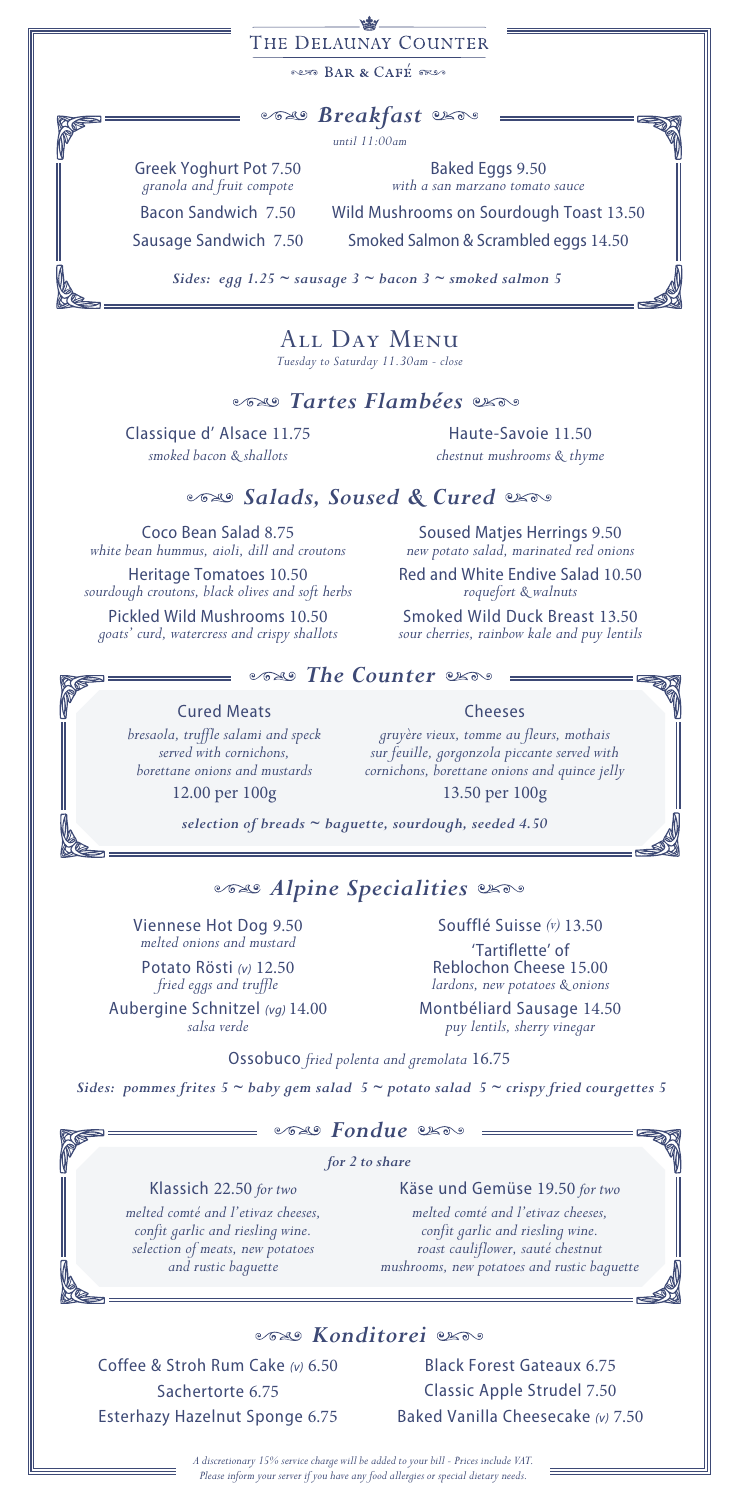#### بيضع THE DELAUNAY COUNTER

RAR & CAFÉ TRES

*Breakfast*

*until 11:00am*

Greek Yoghurt Pot 7.50 *granola and fruit compote*

Baked Eggs 9.50 *with a san marzano tomato sauce*

Wild Mushrooms on Sourdough Toast 13.50 Smoked Salmon & Scrambled eggs 14.50

Bacon Sandwich 7.50 Sausage Sandwich 7.50

*Sides: egg 1.25 ~ sausage 3 ~ bacon 3 ~ smoked salmon 5*

# All Day Menu

*Tuesday to Saturday 11.30am - close* 

### *Tartes Flambées*

Classique d' Alsace 11.75 *smoked bacon & shallots* 

Haute-Savoie 11.50 *chestnut mushrooms & thyme*

### *Salads, Soused & Cured*

Coco Bean Salad 8.75 *white bean hummus, aioli, dill and croutons* 

Heritage Tomatoes 10.50 *sourdough croutons, black olives and soft herbs*

Pickled Wild Mushrooms 10.50 *goats' curd, watercress and crispy shallots* 

Soused Matjes Herrings 9.50 *new potato salad, marinated red onions*

Red and White Endive Salad 10.50 *roquefort & walnuts*

Smoked Wild Duck Breast 13.50 *sour cherries, rainbow kale and puy lentils* 

## *Counter*  $\infty$

Cured Meats

*bresaola, truffle salami and speck served with cornichons, borettane onions and mustards* 12.00 per 100g

### *gruyère vieux, tomme au fleurs, mothais sur feuille, gorgonzola piccante served with cornichons, borettane onions and quince jelly*

Cheeses

13.50 per 100g

*selection of breads ~ baguette, sourdough, seeded 4.50*

## *Alpine Specialities*

Viennese Hot Dog 9.50 *melted onions and mustard* Potato Rösti *(v)* 12.50

*fried eggs and truffle*  Aubergine Schnitzel *(vg)* 14.00 *salsa verde*

Soufflé Suisse *(v)* 13.50 'Tartiflette' of Reblochon Cheese 15.00

*lardons, new potatoes & onions* Montbéliard Sausage 14.50

*puy lentils, sherry vinegar*

Ossobuco *fried polenta and gremolata* 16.75

*Sides: pommes frites 5 ~ baby gem salad 5 ~ potato salad 5 ~ crispy fried courgettes 5*

*Fondue*

*for 2 to share* 

Klassich 22.50 *for two melted comté and l'etivaz cheeses, confit garlic and riesling wine. selection of meats, new potatoes and rustic baguette*

Käse und Gemüse 19.50 *for two melted comté and l'etivaz cheeses, confit garlic and riesling wine. roast cauliflower, sauté chestnut mushrooms, new potatoes and rustic baguette*

*Konditorei*

Coffee & Stroh Rum Cake *(v)* 6.50 Sachertorte 6.75 Esterhazy Hazelnut Sponge 6.75

Black Forest Gateaux 6.75 Classic Apple Strudel 7.50 Baked Vanilla Cheesecake *(v)* 7.50

*A discretionary 15% service charge will be added to your bill - Prices include VAT. Please inform your server if you have any food allergies or special dietary needs.*